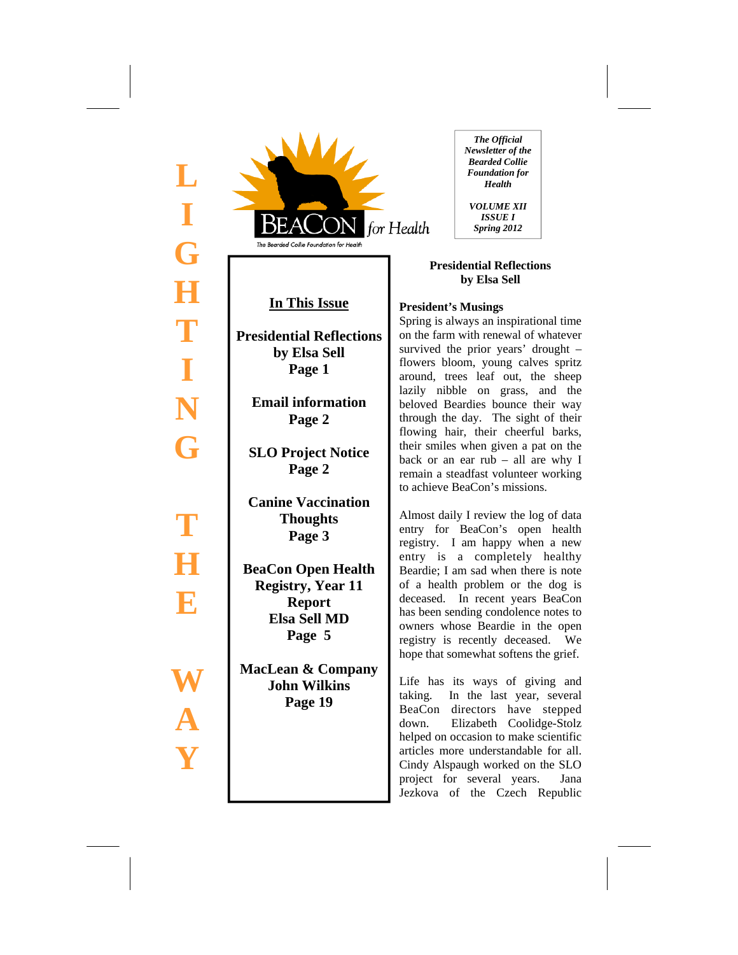



# **In This Issue**

**Presidential Reflections by Elsa Sell Page 1** 

**Email information Page 2** 

**SLO Project Notice Page 2** 

**Canine Vaccination Thoughts Page 3** 

**BeaCon Open Health Registry, Year 11 Report Elsa Sell MD Page 5** 

**MacLean & Company John Wilkins Page 19** 

*The Official Newsletter of the Bearded Collie Foundation for Health* 

*VOLUME XII ISSUE I Spring 2012* 

## **Presidential Reflections by Elsa Sell**

## **President's Musings**

Spring is always an inspirational time on the farm with renewal of whatever survived the prior years' drought – flowers bloom, young calves spritz around, trees leaf out, the sheep lazily nibble on grass, and the beloved Beardies bounce their way through the day. The sight of their flowing hair, their cheerful barks, their smiles when given a pat on the back or an ear rub – all are why I remain a steadfast volunteer working to achieve BeaCon's missions.

Almost daily I review the log of data entry for BeaCon's open health registry. I am happy when a new entry is a completely healthy Beardie; I am sad when there is note of a health problem or the dog is deceased. In recent years BeaCon has been sending condolence notes to owners whose Beardie in the open registry is recently deceased. We hope that somewhat softens the grief.

Life has its ways of giving and taking. In the last year, several BeaCon directors have stepped down. Elizabeth Coolidge-Stolz helped on occasion to make scientific articles more understandable for all. Cindy Alspaugh worked on the SLO project for several years. Jana Jezkova of the Czech Republic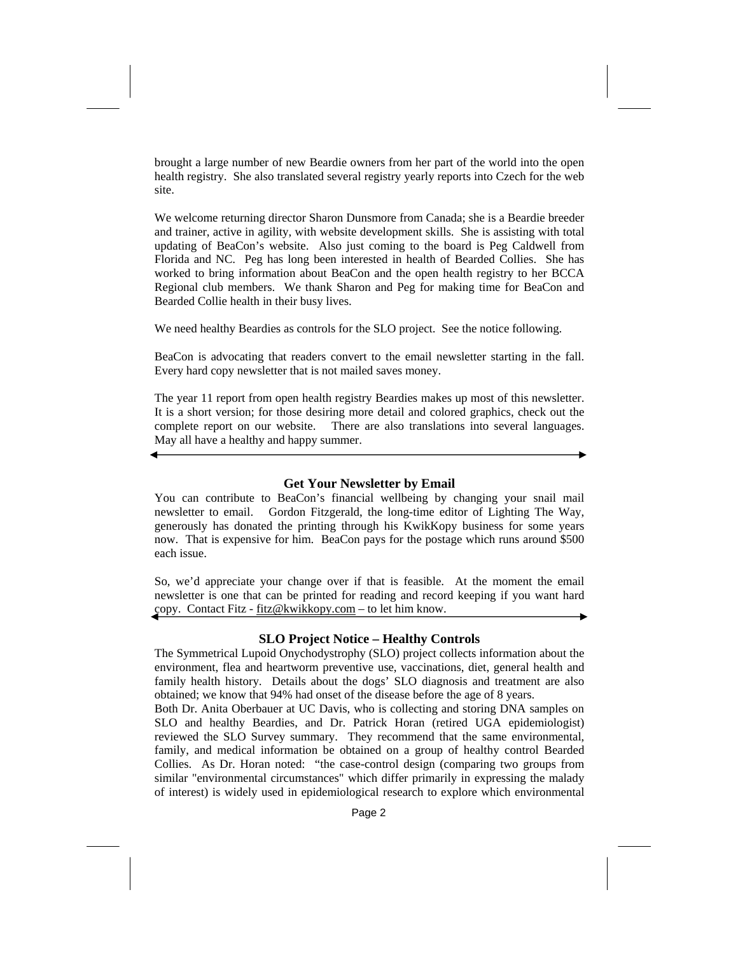brought a large number of new Beardie owners from her part of the world into the open health registry. She also translated several registry yearly reports into Czech for the web site.

We welcome returning director Sharon Dunsmore from Canada; she is a Beardie breeder and trainer, active in agility, with website development skills. She is assisting with total updating of BeaCon's website. Also just coming to the board is Peg Caldwell from Florida and NC. Peg has long been interested in health of Bearded Collies. She has worked to bring information about BeaCon and the open health registry to her BCCA Regional club members. We thank Sharon and Peg for making time for BeaCon and Bearded Collie health in their busy lives.

We need healthy Beardies as controls for the SLO project. See the notice following.

BeaCon is advocating that readers convert to the email newsletter starting in the fall. Every hard copy newsletter that is not mailed saves money.

The year 11 report from open health registry Beardies makes up most of this newsletter. It is a short version; for those desiring more detail and colored graphics, check out the complete report on our website. There are also translations into several languages. May all have a healthy and happy summer.

#### **Get Your Newsletter by Email**

You can contribute to BeaCon's financial wellbeing by changing your snail mail newsletter to email. Gordon Fitzgerald, the long-time editor of Lighting The Way, generously has donated the printing through his KwikKopy business for some years now. That is expensive for him. BeaCon pays for the postage which runs around \$500 each issue.

So, we'd appreciate your change over if that is feasible. At the moment the email newsletter is one that can be printed for reading and record keeping if you want hard copy. Contact Fitz - fitz@kwikkopy.com – to let him know.

#### **SLO Project Notice – Healthy Controls**

The Symmetrical Lupoid Onychodystrophy (SLO) project collects information about the environment, flea and heartworm preventive use, vaccinations, diet, general health and family health history. Details about the dogs' SLO diagnosis and treatment are also obtained; we know that 94% had onset of the disease before the age of 8 years.

Both Dr. Anita Oberbauer at UC Davis, who is collecting and storing DNA samples on SLO and healthy Beardies, and Dr. Patrick Horan (retired UGA epidemiologist) reviewed the SLO Survey summary. They recommend that the same environmental, family, and medical information be obtained on a group of healthy control Bearded Collies. As Dr. Horan noted: "the case-control design (comparing two groups from similar "environmental circumstances" which differ primarily in expressing the malady of interest) is widely used in epidemiological research to explore which environmental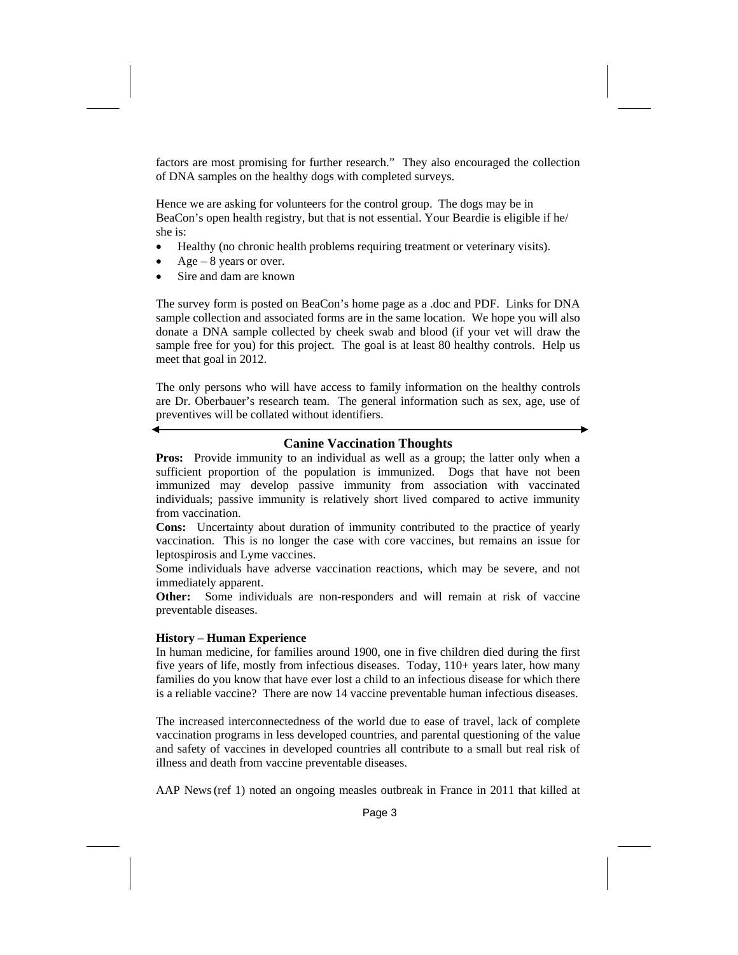factors are most promising for further research." They also encouraged the collection of DNA samples on the healthy dogs with completed surveys.

Hence we are asking for volunteers for the control group. The dogs may be in BeaCon's open health registry, but that is not essential. Your Beardie is eligible if he/ she is:

- Healthy (no chronic health problems requiring treatment or veterinary visits).
- $Age 8$  years or over.
- Sire and dam are known

The survey form is posted on BeaCon's home page as a .doc and PDF. Links for DNA sample collection and associated forms are in the same location. We hope you will also donate a DNA sample collected by cheek swab and blood (if your vet will draw the sample free for you) for this project. The goal is at least 80 healthy controls. Help us meet that goal in 2012.

The only persons who will have access to family information on the healthy controls are Dr. Oberbauer's research team. The general information such as sex, age, use of preventives will be collated without identifiers.

## **Canine Vaccination Thoughts**

**Pros:** Provide immunity to an individual as well as a group; the latter only when a sufficient proportion of the population is immunized. Dogs that have not been immunized may develop passive immunity from association with vaccinated individuals; passive immunity is relatively short lived compared to active immunity from vaccination.

**Cons:** Uncertainty about duration of immunity contributed to the practice of yearly vaccination. This is no longer the case with core vaccines, but remains an issue for leptospirosis and Lyme vaccines.

Some individuals have adverse vaccination reactions, which may be severe, and not immediately apparent.

**Other:** Some individuals are non-responders and will remain at risk of vaccine preventable diseases.

#### **History – Human Experience**

In human medicine, for families around 1900, one in five children died during the first five years of life, mostly from infectious diseases. Today, 110+ years later, how many families do you know that have ever lost a child to an infectious disease for which there is a reliable vaccine? There are now 14 vaccine preventable human infectious diseases.

The increased interconnectedness of the world due to ease of travel, lack of complete vaccination programs in less developed countries, and parental questioning of the value and safety of vaccines in developed countries all contribute to a small but real risk of illness and death from vaccine preventable diseases.

AAP News(ref 1) noted an ongoing measles outbreak in France in 2011 that killed at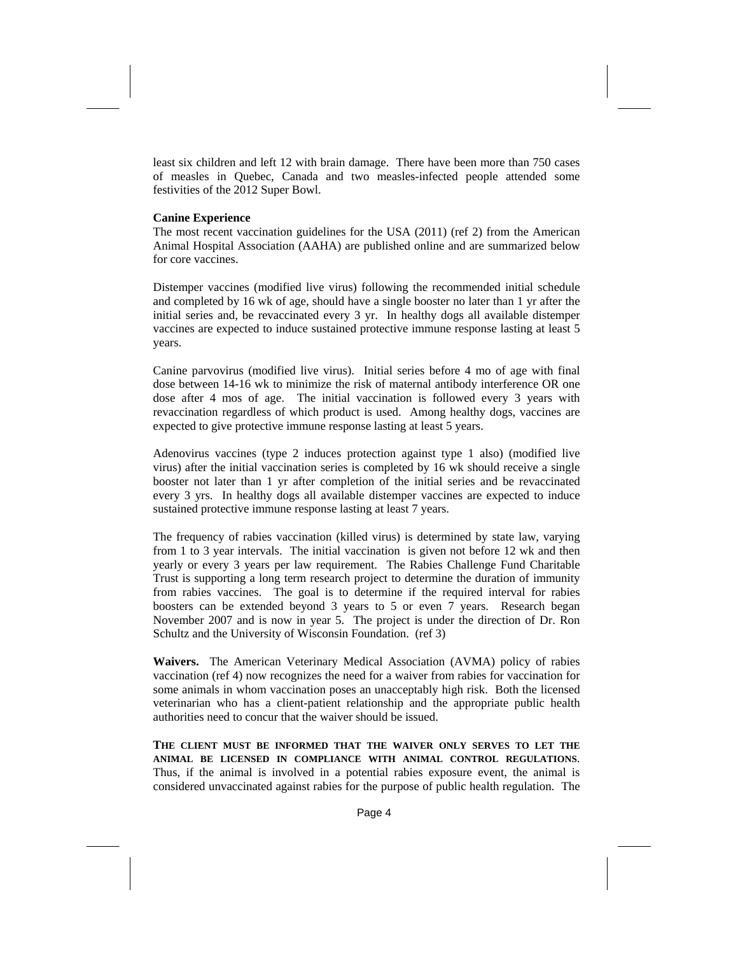least six children and left 12 with brain damage. There have been more than 750 cases of measles in Quebec, Canada and two measles-infected people attended some festivities of the 2012 Super Bowl.

#### **Canine Experience**

The most recent vaccination guidelines for the USA (2011) (ref 2) from the American Animal Hospital Association (AAHA) are published online and are summarized below for core vaccines.

Distemper vaccines (modified live virus) following the recommended initial schedule and completed by 16 wk of age, should have a single booster no later than 1 yr after the initial series and, be revaccinated every 3 yr. In healthy dogs all available distemper vaccines are expected to induce sustained protective immune response lasting at least 5 years.

Canine parvovirus (modified live virus). Initial series before 4 mo of age with final dose between 14-16 wk to minimize the risk of maternal antibody interference OR one dose after 4 mos of age. The initial vaccination is followed every 3 years with revaccination regardless of which product is used. Among healthy dogs, vaccines are expected to give protective immune response lasting at least 5 years.

Adenovirus vaccines (type 2 induces protection against type 1 also) (modified live virus) after the initial vaccination series is completed by 16 wk should receive a single booster not later than 1 yr after completion of the initial series and be revaccinated every 3 yrs. In healthy dogs all available distemper vaccines are expected to induce sustained protective immune response lasting at least 7 years.

The frequency of rabies vaccination (killed virus) is determined by state law, varying from 1 to 3 year intervals. The initial vaccination is given not before 12 wk and then yearly or every 3 years per law requirement. The Rabies Challenge Fund Charitable Trust is supporting a long term research project to determine the duration of immunity from rabies vaccines. The goal is to determine if the required interval for rabies boosters can be extended beyond 3 years to 5 or even 7 years. Research began November 2007 and is now in year 5. The project is under the direction of Dr. Ron Schultz and the University of Wisconsin Foundation. (ref 3)

**Waivers.** The American Veterinary Medical Association (AVMA) policy of rabies vaccination (ref 4) now recognizes the need for a waiver from rabies for vaccination for some animals in whom vaccination poses an unacceptably high risk. Both the licensed veterinarian who has a client-patient relationship and the appropriate public health authorities need to concur that the waiver should be issued.

**THE CLIENT MUST BE INFORMED THAT THE WAIVER ONLY SERVES TO LET THE ANIMAL BE LICENSED IN COMPLIANCE WITH ANIMAL CONTROL REGULATIONS**. Thus, if the animal is involved in a potential rabies exposure event, the animal is considered unvaccinated against rabies for the purpose of public health regulation. The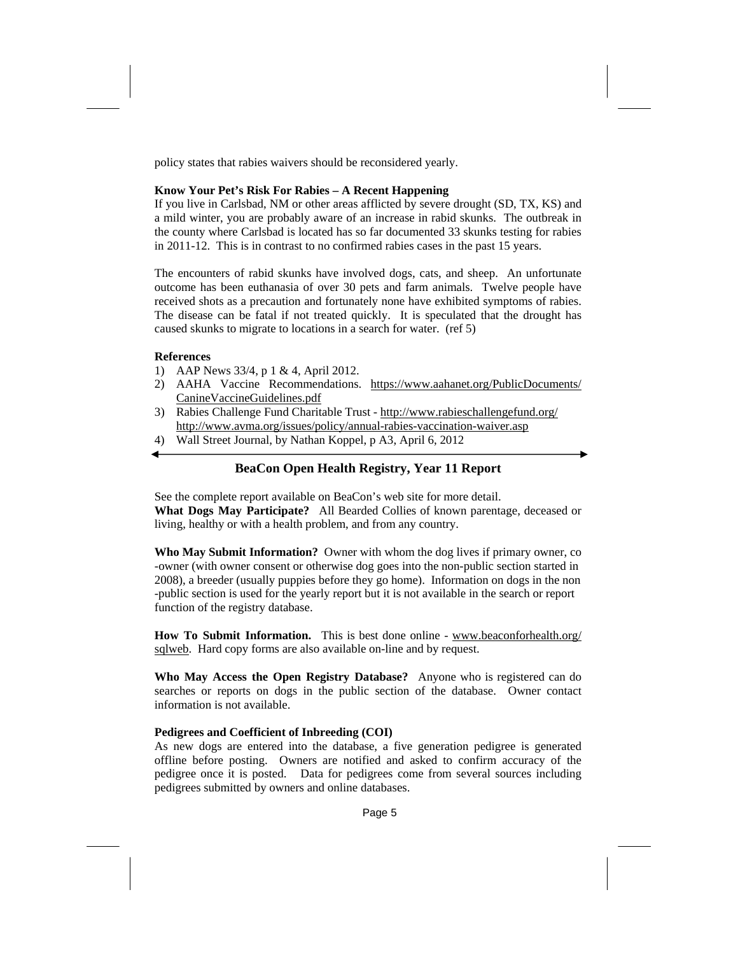policy states that rabies waivers should be reconsidered yearly.

#### **Know Your Pet's Risk For Rabies – A Recent Happening**

If you live in Carlsbad, NM or other areas afflicted by severe drought (SD, TX, KS) and a mild winter, you are probably aware of an increase in rabid skunks. The outbreak in the county where Carlsbad is located has so far documented 33 skunks testing for rabies in 2011-12. This is in contrast to no confirmed rabies cases in the past 15 years.

The encounters of rabid skunks have involved dogs, cats, and sheep. An unfortunate outcome has been euthanasia of over 30 pets and farm animals. Twelve people have received shots as a precaution and fortunately none have exhibited symptoms of rabies. The disease can be fatal if not treated quickly. It is speculated that the drought has caused skunks to migrate to locations in a search for water. (ref 5)

#### **References**

- 1) AAP News 33/4, p 1 & 4, April 2012.
- 2) AAHA Vaccine Recommendations. https://www.aahanet.org/PublicDocuments/ CanineVaccineGuidelines.pdf
- 3) Rabies Challenge Fund Charitable Trust http://www.rabieschallengefund.org/ http://www.avma.org/issues/policy/annual-rabies-vaccination-waiver.asp
- 4) Wall Street Journal, by Nathan Koppel, p A3, April 6, 2012

## **BeaCon Open Health Registry, Year 11 Report**

See the complete report available on BeaCon's web site for more detail. **What Dogs May Participate?** All Bearded Collies of known parentage, deceased or living, healthy or with a health problem, and from any country.

**Who May Submit Information?** Owner with whom the dog lives if primary owner, co -owner (with owner consent or otherwise dog goes into the non-public section started in 2008), a breeder (usually puppies before they go home). Information on dogs in the non -public section is used for the yearly report but it is not available in the search or report function of the registry database.

**How To Submit Information.** This is best done online - www.beaconforhealth.org/ sqlweb. Hard copy forms are also available on-line and by request.

**Who May Access the Open Registry Database?** Anyone who is registered can do searches or reports on dogs in the public section of the database. Owner contact information is not available.

#### **Pedigrees and Coefficient of Inbreeding (COI)**

As new dogs are entered into the database, a five generation pedigree is generated offline before posting. Owners are notified and asked to confirm accuracy of the pedigree once it is posted. Data for pedigrees come from several sources including pedigrees submitted by owners and online databases.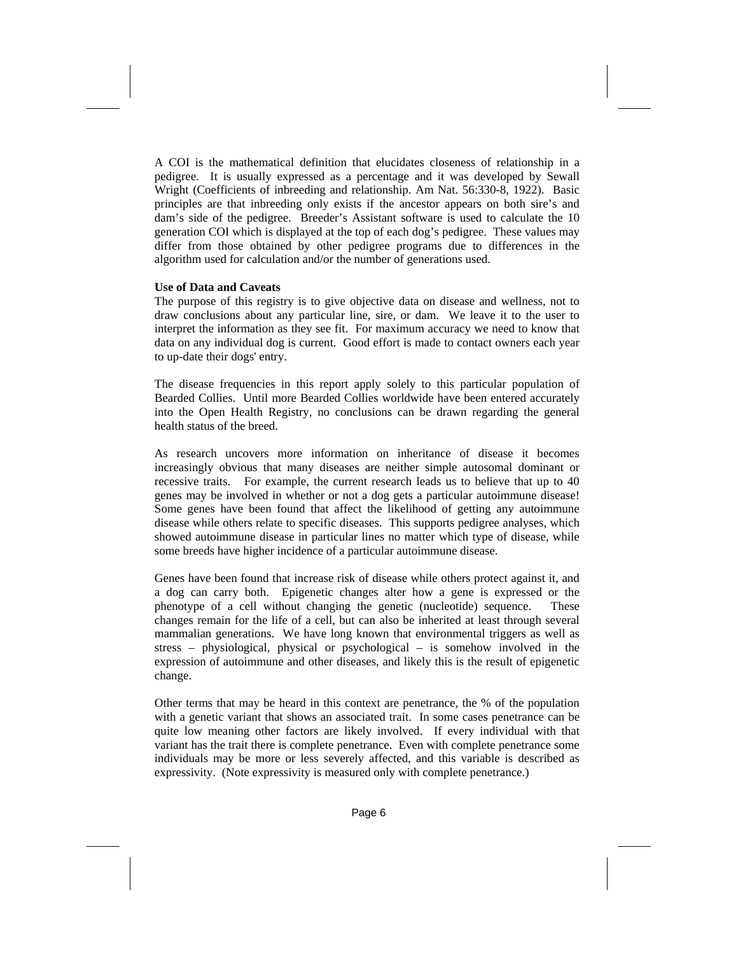A COI is the mathematical definition that elucidates closeness of relationship in a pedigree. It is usually expressed as a percentage and it was developed by Sewall Wright (Coefficients of inbreeding and relationship. Am Nat. 56:330-8, 1922). Basic principles are that inbreeding only exists if the ancestor appears on both sire's and dam's side of the pedigree. Breeder's Assistant software is used to calculate the 10 generation COI which is displayed at the top of each dog's pedigree. These values may differ from those obtained by other pedigree programs due to differences in the algorithm used for calculation and/or the number of generations used.

#### **Use of Data and Caveats**

The purpose of this registry is to give objective data on disease and wellness, not to draw conclusions about any particular line, sire, or dam. We leave it to the user to interpret the information as they see fit. For maximum accuracy we need to know that data on any individual dog is current. Good effort is made to contact owners each year to up-date their dogs' entry.

The disease frequencies in this report apply solely to this particular population of Bearded Collies. Until more Bearded Collies worldwide have been entered accurately into the Open Health Registry, no conclusions can be drawn regarding the general health status of the breed.

As research uncovers more information on inheritance of disease it becomes increasingly obvious that many diseases are neither simple autosomal dominant or recessive traits. For example, the current research leads us to believe that up to 40 genes may be involved in whether or not a dog gets a particular autoimmune disease! Some genes have been found that affect the likelihood of getting any autoimmune disease while others relate to specific diseases. This supports pedigree analyses, which showed autoimmune disease in particular lines no matter which type of disease, while some breeds have higher incidence of a particular autoimmune disease.

Genes have been found that increase risk of disease while others protect against it, and a dog can carry both. Epigenetic changes alter how a gene is expressed or the phenotype of a cell without changing the genetic (nucleotide) sequence. These changes remain for the life of a cell, but can also be inherited at least through several mammalian generations. We have long known that environmental triggers as well as stress – physiological, physical or psychological – is somehow involved in the expression of autoimmune and other diseases, and likely this is the result of epigenetic change.

Other terms that may be heard in this context are penetrance, the % of the population with a genetic variant that shows an associated trait. In some cases penetrance can be quite low meaning other factors are likely involved. If every individual with that variant has the trait there is complete penetrance. Even with complete penetrance some individuals may be more or less severely affected, and this variable is described as expressivity. (Note expressivity is measured only with complete penetrance.)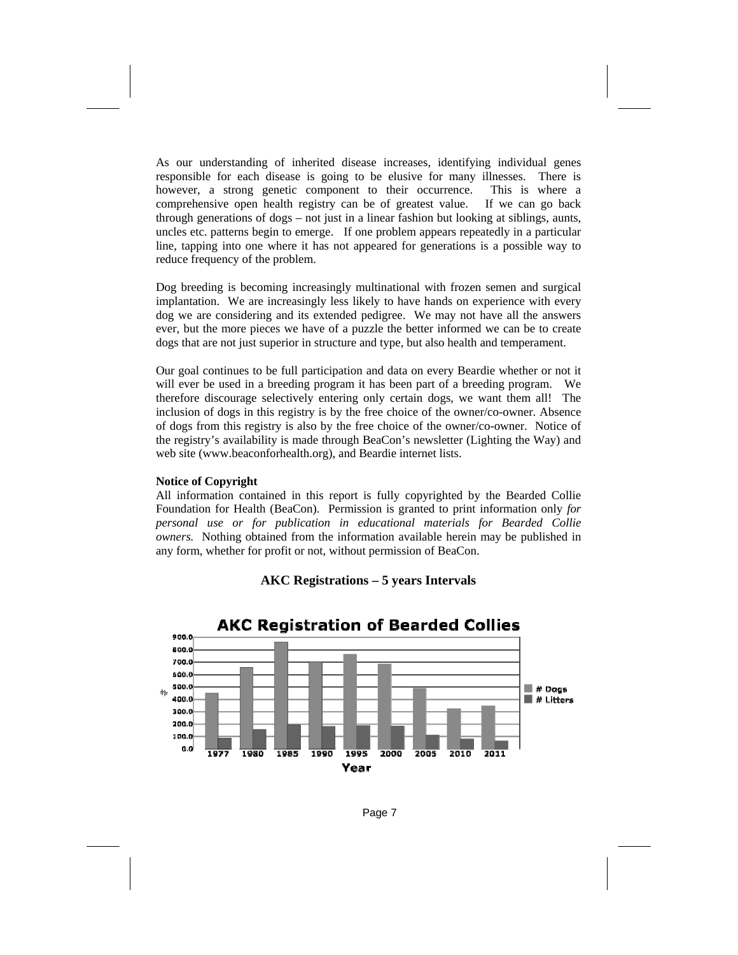As our understanding of inherited disease increases, identifying individual genes responsible for each disease is going to be elusive for many illnesses. There is however, a strong genetic component to their occurrence. This is where a comprehensive open health registry can be of greatest value. If we can go back through generations of dogs – not just in a linear fashion but looking at siblings, aunts, uncles etc. patterns begin to emerge. If one problem appears repeatedly in a particular line, tapping into one where it has not appeared for generations is a possible way to reduce frequency of the problem.

Dog breeding is becoming increasingly multinational with frozen semen and surgical implantation. We are increasingly less likely to have hands on experience with every dog we are considering and its extended pedigree. We may not have all the answers ever, but the more pieces we have of a puzzle the better informed we can be to create dogs that are not just superior in structure and type, but also health and temperament.

Our goal continues to be full participation and data on every Beardie whether or not it will ever be used in a breeding program it has been part of a breeding program. We therefore discourage selectively entering only certain dogs, we want them all! The inclusion of dogs in this registry is by the free choice of the owner/co-owner. Absence of dogs from this registry is also by the free choice of the owner/co-owner. Notice of the registry's availability is made through BeaCon's newsletter (Lighting the Way) and web site (www.beaconforhealth.org), and Beardie internet lists.

#### **Notice of Copyright**

All information contained in this report is fully copyrighted by the Bearded Collie Foundation for Health (BeaCon). Permission is granted to print information only *for personal use or for publication in educational materials for Bearded Collie owners.* Nothing obtained from the information available herein may be published in any form, whether for profit or not, without permission of BeaCon.





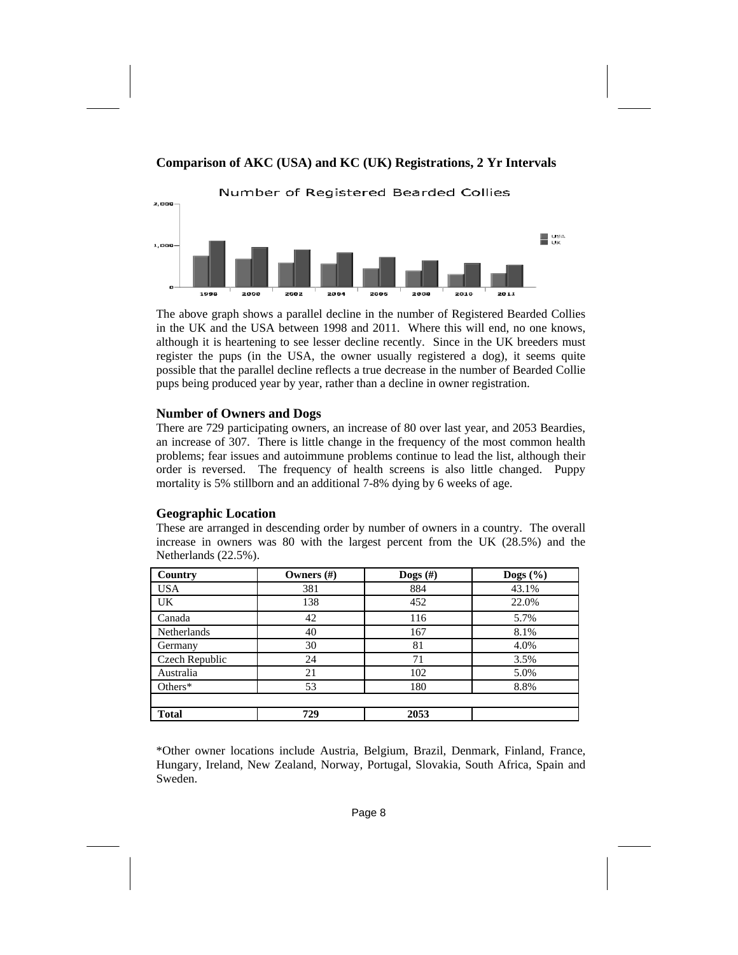

# **Comparison of AKC (USA) and KC (UK) Registrations, 2 Yr Intervals**

The above graph shows a parallel decline in the number of Registered Bearded Collies in the UK and the USA between 1998 and 2011. Where this will end, no one knows, although it is heartening to see lesser decline recently. Since in the UK breeders must register the pups (in the USA, the owner usually registered a dog), it seems quite possible that the parallel decline reflects a true decrease in the number of Bearded Collie pups being produced year by year, rather than a decline in owner registration.

# **Number of Owners and Dogs**

There are 729 participating owners, an increase of 80 over last year, and 2053 Beardies, an increase of 307. There is little change in the frequency of the most common health problems; fear issues and autoimmune problems continue to lead the list, although their order is reversed. The frequency of health screens is also little changed. Puppy mortality is 5% stillborn and an additional 7-8% dying by 6 weeks of age.

# **Geographic Location**

These are arranged in descending order by number of owners in a country. The overall increase in owners was 80 with the largest percent from the UK (28.5%) and the Netherlands (22.5%).

| Country        | Owners $(\#)$ | Dogs $(\#)$ | Dogs $(\% )$ |
|----------------|---------------|-------------|--------------|
| <b>USA</b>     | 381           | 884         | 43.1%        |
| UK             | 138           | 452         | 22.0%        |
| Canada         | 42            | 116         | 5.7%         |
| Netherlands    | 40            | 167         | 8.1%         |
| Germany        | 30            | 81          | 4.0%         |
| Czech Republic | 24            | 71          | 3.5%         |
| Australia      | 21            | 102         | 5.0%         |
| Others $*$     | 53            | 180         | 8.8%         |
|                |               |             |              |
| <b>Total</b>   | 729           | 2053        |              |

\*Other owner locations include Austria, Belgium, Brazil, Denmark, Finland, France, Hungary, Ireland, New Zealand, Norway, Portugal, Slovakia, South Africa, Spain and Sweden.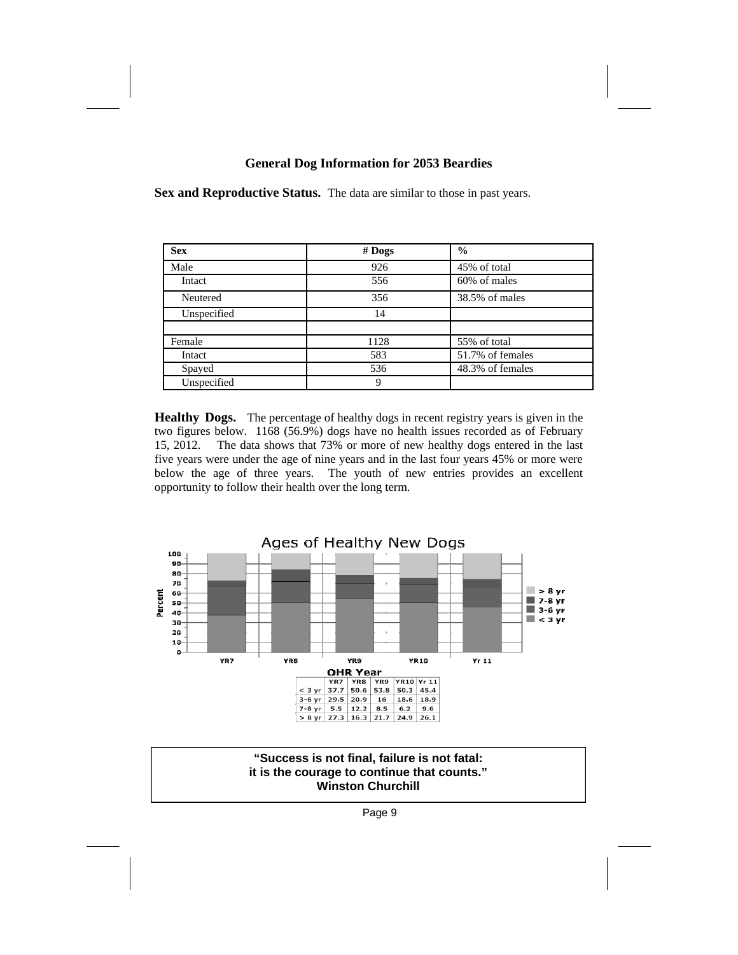# **General Dog Information for 2053 Beardies**

**Sex and Reproductive Status.** The data are similar to those in past years.

| <b>Sex</b>  | $#$ Dogs | $\frac{6}{9}$    |
|-------------|----------|------------------|
| Male        | 926      | 45% of total     |
| Intact      | 556      | 60% of males     |
| Neutered    | 356      | 38.5% of males   |
| Unspecified | 14       |                  |
|             |          |                  |
| Female      | 1128     | 55% of total     |
| Intact      | 583      | 51.7% of females |
| Spayed      | 536      | 48.3% of females |
| Unspecified | 9        |                  |

**Healthy Dogs.** The percentage of healthy dogs in recent registry years is given in the two figures below. 1168 (56.9%) dogs have no health issues recorded as of February 15, 2012. The data shows that 73% or more of new healthy dogs entered in the last five years were under the age of nine years and in the last four years 45% or more were below the age of three years. The youth of new entries provides an excellent opportunity to follow their health over the long term.



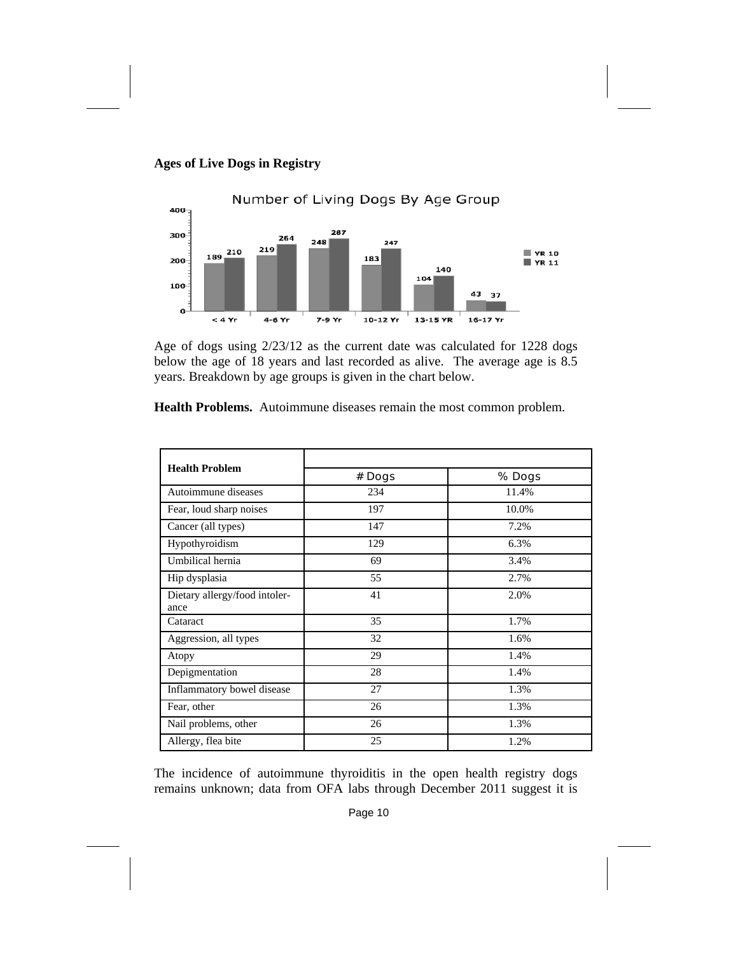



Age of dogs using 2/23/12 as the current date was calculated for 1228 dogs below the age of 18 years and last recorded as alive. The average age is 8.5 years. Breakdown by age groups is given in the chart below.

| <b>Health Problem</b>                 | # Dogs | % Dogs |
|---------------------------------------|--------|--------|
| Autoimmune diseases                   | 234    | 11.4%  |
| Fear, loud sharp noises               | 197    | 10.0%  |
| Cancer (all types)                    | 147    | 7.2%   |
| Hypothyroidism                        | 129    | 6.3%   |
| Umbilical hernia                      | 69     | 3.4%   |
| Hip dysplasia                         | 55     | 2.7%   |
| Dietary allergy/food intoler-<br>ance | 41     | 2.0%   |
| Cataract                              | 35     | 1.7%   |
| Aggression, all types                 | 32     | 1.6%   |
| Atopy                                 | 29     | 1.4%   |
| Depigmentation                        | 28     | 1.4%   |
| Inflammatory bowel disease            | 27     | 1.3%   |
| Fear, other                           | 26     | 1.3%   |
| Nail problems, other                  | 26     | 1.3%   |
| Allergy, flea bite                    | 25     | 1.2%   |

**Health Problems.** Autoimmune diseases remain the most common problem.

The incidence of autoimmune thyroiditis in the open health registry dogs remains unknown; data from OFA labs through December 2011 suggest it is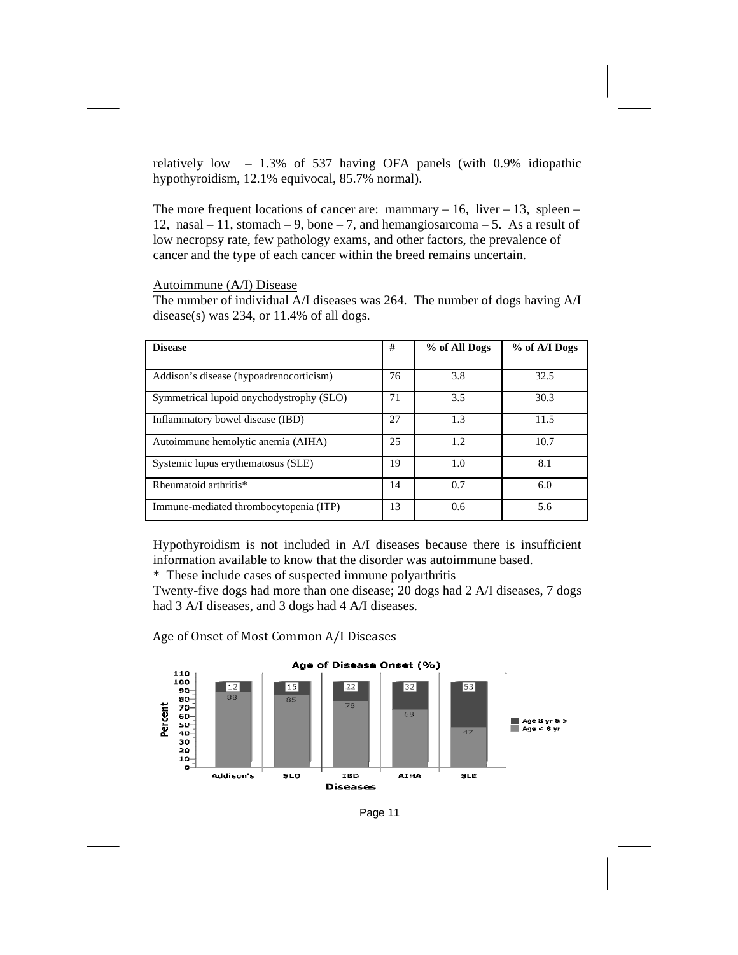relatively low – 1.3% of 537 having OFA panels (with 0.9% idiopathic hypothyroidism, 12.1% equivocal, 85.7% normal).

The more frequent locations of cancer are: mammary  $-16$ , liver  $-13$ , spleen  $-$ 12, nasal – 11, stomach – 9, bone – 7, and hemangiosarcoma – 5. As a result of low necropsy rate, few pathology exams, and other factors, the prevalence of cancer and the type of each cancer within the breed remains uncertain.

# Autoimmune (A/I) Disease

The number of individual A/I diseases was 264. The number of dogs having A/I disease(s) was 234, or 11.4% of all dogs.

| <b>Disease</b>                           | #  | % of All Dogs | % of A/I Dogs |
|------------------------------------------|----|---------------|---------------|
|                                          |    |               |               |
| Addison's disease (hypoadrenocorticism)  | 76 | 3.8           | 32.5          |
| Symmetrical lupoid onychodystrophy (SLO) | 71 | 3.5           | 30.3          |
| Inflammatory bowel disease (IBD)         | 27 | 1.3           | 11.5          |
| Autoimmune hemolytic anemia (AIHA)       | 25 | 1.2           | 10.7          |
| Systemic lupus erythematosus (SLE)       | 19 | 1.0           | 8.1           |
| Rheumatoid arthritis*                    | 14 | 0.7           | 6.0           |
| Immune-mediated thrombocytopenia (ITP)   | 13 | 0.6           | 5.6           |

Hypothyroidism is not included in A/I diseases because there is insufficient information available to know that the disorder was autoimmune based.

\* These include cases of suspected immune polyarthritis

Twenty-five dogs had more than one disease; 20 dogs had 2 A/I diseases, 7 dogs had 3 A/I diseases, and 3 dogs had 4 A/I diseases.



### Age of Onset of Most Common A/I Diseases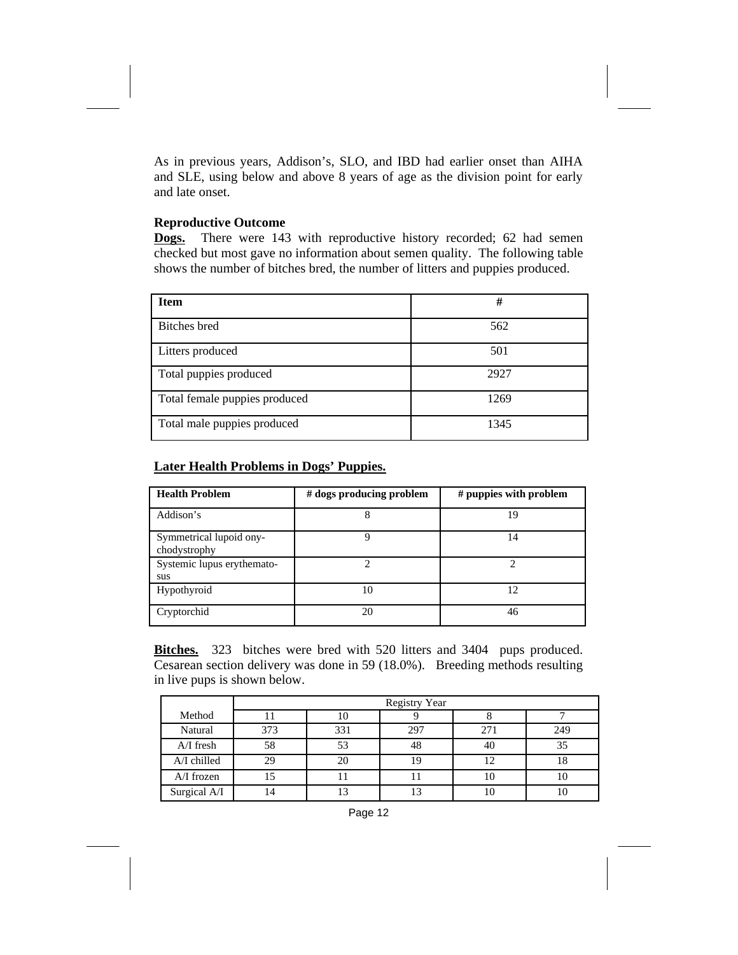As in previous years, Addison's, SLO, and IBD had earlier onset than AIHA and SLE, using below and above 8 years of age as the division point for early and late onset.

# **Reproductive Outcome**

**Dogs.** There were 143 with reproductive history recorded; 62 had semen checked but most gave no information about semen quality. The following table shows the number of bitches bred, the number of litters and puppies produced.

| <b>Item</b>                   | #    |
|-------------------------------|------|
| Bitches bred                  | 562  |
| Litters produced              | 501  |
| Total puppies produced        | 2927 |
| Total female puppies produced | 1269 |
| Total male puppies produced   | 1345 |

# **Later Health Problems in Dogs' Puppies.**

| <b>Health Problem</b>                   | $#$ dogs producing problem | # puppies with problem |
|-----------------------------------------|----------------------------|------------------------|
| Addison's                               |                            | 19                     |
| Symmetrical lupoid ony-<br>chodystrophy | Q                          | 14                     |
| Systemic lupus erythemato-<br>sus       |                            |                        |
| Hypothyroid                             | 10                         | 12                     |
| Cryptorchid                             | 20                         | 46                     |

**Bitches.** 323 bitches were bred with 520 litters and 3404 pups produced. Cesarean section delivery was done in 59 (18.0%). Breeding methods resulting in live pups is shown below.

|              | <b>Registry Year</b> |     |     |     |     |  |
|--------------|----------------------|-----|-----|-----|-----|--|
| Method       |                      |     |     |     |     |  |
| Natural      | 373                  | 331 | 297 | 271 | 249 |  |
| $A/I$ fresh  | 58                   | 53  | 48  | 40  | 35  |  |
| A/I chilled  | 29                   | 20  | 19  | 12  | 18  |  |
| A/I frozen   |                      |     |     | 10  |     |  |
| Surgical A/I |                      | ר ו | 13  | 10  | 10  |  |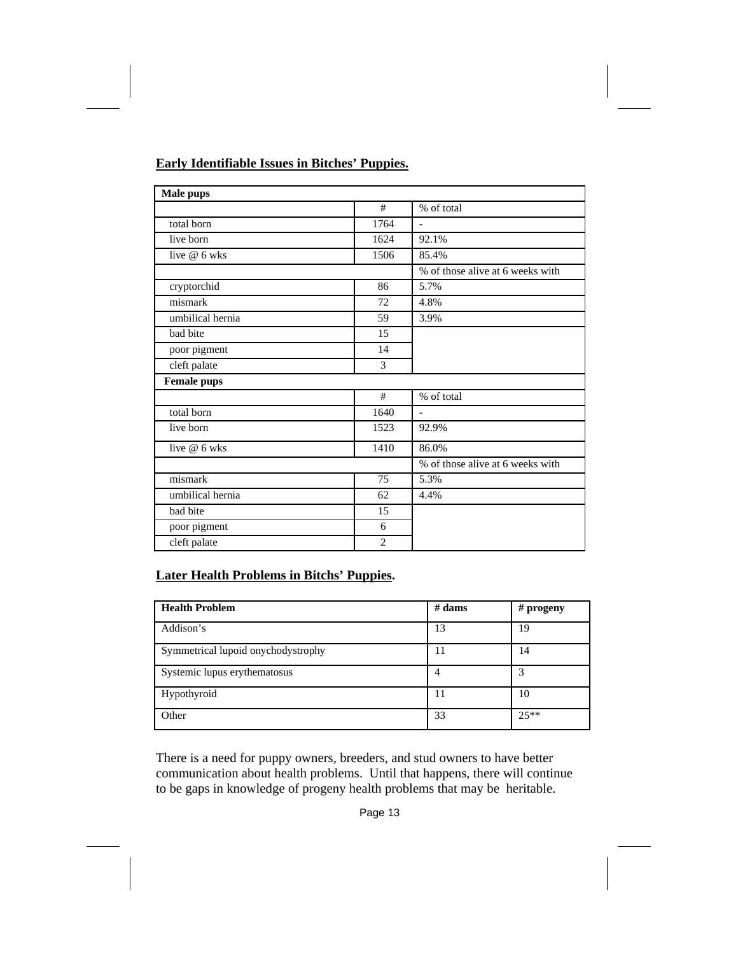# **Early Identifiable Issues in Bitches' Puppies.**

| Male pups          |                |                                  |
|--------------------|----------------|----------------------------------|
|                    | #              | % of total                       |
| total born         | 1764           | $\overline{\phantom{a}}$         |
| live born          | 1624           | 92.1%                            |
| live @ 6 wks       | 1506           | 85.4%                            |
|                    |                | % of those alive at 6 weeks with |
| cryptorchid        | 86             | 5.7%                             |
| mismark            | 72             | 4.8%                             |
| umbilical hernia   | 59             | 3.9%                             |
| bad bite           | 15             |                                  |
| poor pigment       | 14             |                                  |
| cleft palate       | 3              |                                  |
| <b>Female pups</b> |                |                                  |
|                    | #              | % of total                       |
| total born         | 1640           | $\overline{\phantom{a}}$         |
| live born          | 1523           | 92.9%                            |
| live $@6$ wks      | 1410           | 86.0%                            |
|                    |                | % of those alive at 6 weeks with |
| mismark            | 75             | 5.3%                             |
| umbilical hernia   | 62             | 4.4%                             |
| bad bite           | 15             |                                  |
| poor pigment       | 6              |                                  |
| cleft palate       | $\overline{2}$ |                                  |

# **Later Health Problems in Bitchs' Puppies.**

| <b>Health Problem</b>              | $#$ dams | # progeny |
|------------------------------------|----------|-----------|
| Addison's                          | 13       | 19        |
| Symmetrical lupoid onychodystrophy | 11       | 14        |
| Systemic lupus erythematosus       | 4        | 3         |
| Hypothyroid                        | 11       | 10        |
| Other                              | 33       | $25**$    |

There is a need for puppy owners, breeders, and stud owners to have better communication about health problems. Until that happens, there will continue to be gaps in knowledge of progeny health problems that may be heritable.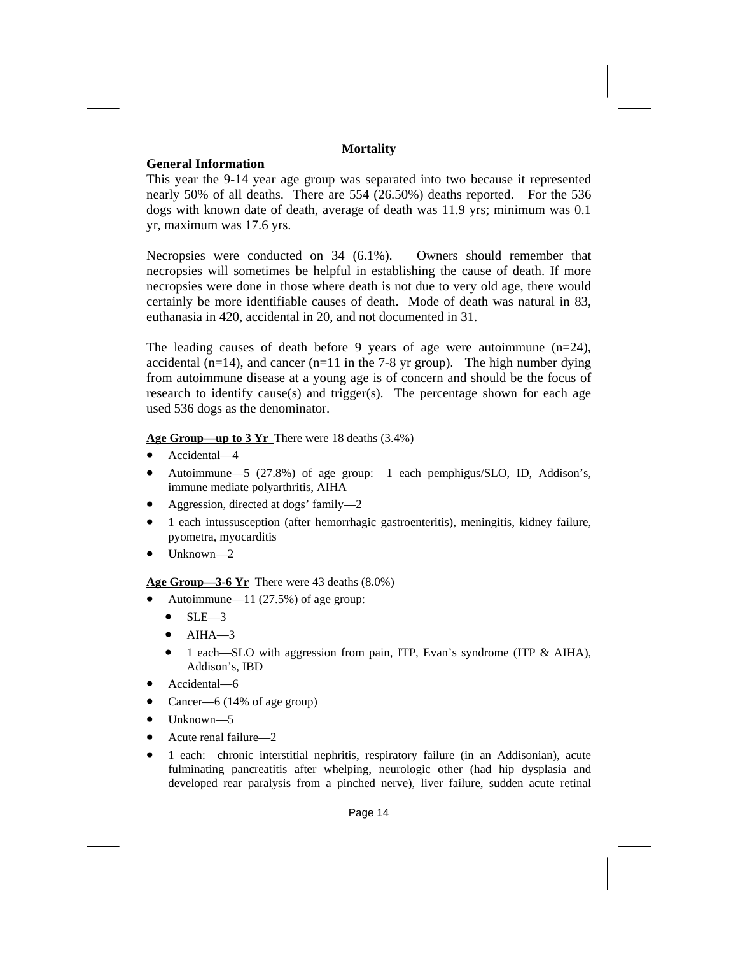## **Mortality**

## **General Information**

This year the 9-14 year age group was separated into two because it represented nearly 50% of all deaths. There are 554 (26.50%) deaths reported. For the 536 dogs with known date of death, average of death was 11.9 yrs; minimum was 0.1 yr, maximum was 17.6 yrs.

Necropsies were conducted on 34 (6.1%). Owners should remember that necropsies will sometimes be helpful in establishing the cause of death. If more necropsies were done in those where death is not due to very old age, there would certainly be more identifiable causes of death. Mode of death was natural in 83, euthanasia in 420, accidental in 20, and not documented in 31.

The leading causes of death before 9 years of age were autoimmune (n=24), accidental ( $n=14$ ), and cancer ( $n=11$  in the 7-8 yr group). The high number dying from autoimmune disease at a young age is of concern and should be the focus of research to identify cause(s) and trigger(s). The percentage shown for each age used 536 dogs as the denominator.

# **Age Group—up to 3 Yr** There were 18 deaths (3.4%)

- Accidental—4
- Autoimmune—5 (27.8%) of age group: 1 each pemphigus/SLO, ID, Addison's, immune mediate polyarthritis, AIHA
- Aggression, directed at dogs' family—2
- 1 each intussusception (after hemorrhagic gastroenteritis), meningitis, kidney failure, pyometra, myocarditis
- Unknown—2

**Age Group—3-6 Yr** There were 43 deaths (8.0%)

- Autoimmune— $11 (27.5%)$  of age group:
	- $\bullet$  SLE-3
	- $A IHA$ —3
	- 1 each—SLO with aggression from pain, ITP, Evan's syndrome (ITP & AIHA), Addison's, IBD
- Accidental—6
- Cancer—6 (14% of age group)
- Unknown—5
- Acute renal failure—2
- 1 each: chronic interstitial nephritis, respiratory failure (in an Addisonian), acute fulminating pancreatitis after whelping, neurologic other (had hip dysplasia and developed rear paralysis from a pinched nerve), liver failure, sudden acute retinal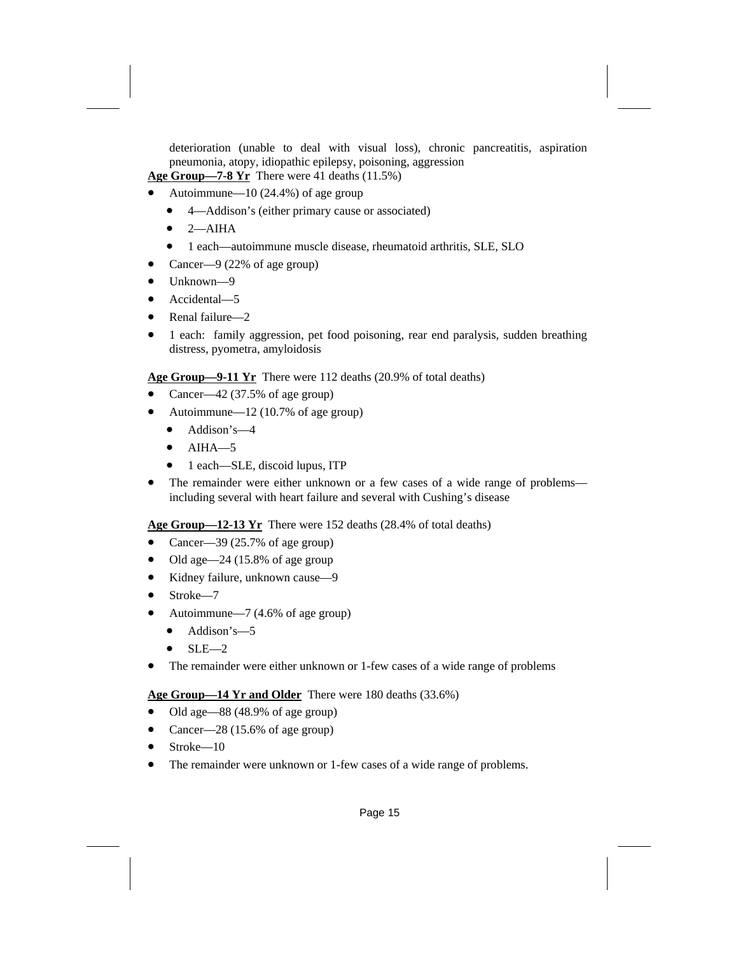deterioration (unable to deal with visual loss), chronic pancreatitis, aspiration pneumonia, atopy, idiopathic epilepsy, poisoning, aggression

**Age Group—7-8 Yr** There were 41 deaths (11.5%)

- Autoimmune—10 (24.4%) of age group
	- 4—Addison's (either primary cause or associated)
	- $\bullet$  2—AIHA
	- 1 each—autoimmune muscle disease, rheumatoid arthritis, SLE, SLO
- Cancer—9 (22% of age group)
- Unknown—9
- Accidental—5
- Renal failure—2
- 1 each: family aggression, pet food poisoning, rear end paralysis, sudden breathing distress, pyometra, amyloidosis

**Age Group—9-11 Yr** There were 112 deaths (20.9% of total deaths)

- Cancer—42 (37.5% of age group)
- Autoimmune—12 (10.7% of age group)
	- Addison's-4
	- $\bullet$  AIHA $-5$
	- 1 each—SLE, discoid lupus, ITP
- The remainder were either unknown or a few cases of a wide range of problems including several with heart failure and several with Cushing's disease

**Age Group—12-13 Yr** There were 152 deaths (28.4% of total deaths)

- Cancer—39 (25.7% of age group)
- $\bullet$  Old age—24 (15.8% of age group
- Kidney failure, unknown cause—9
- Stroke—7
- Autoimmune—7 (4.6% of age group)
	- Addison's-5
	- $\bullet$  SLE-2
- The remainder were either unknown or 1-few cases of a wide range of problems

## Age Group—14 Yr and Older There were 180 deaths (33.6%)

- Old age—88 (48.9% of age group)
- Cancer—28 (15.6% of age group)
- Stroke—10
- The remainder were unknown or 1-few cases of a wide range of problems.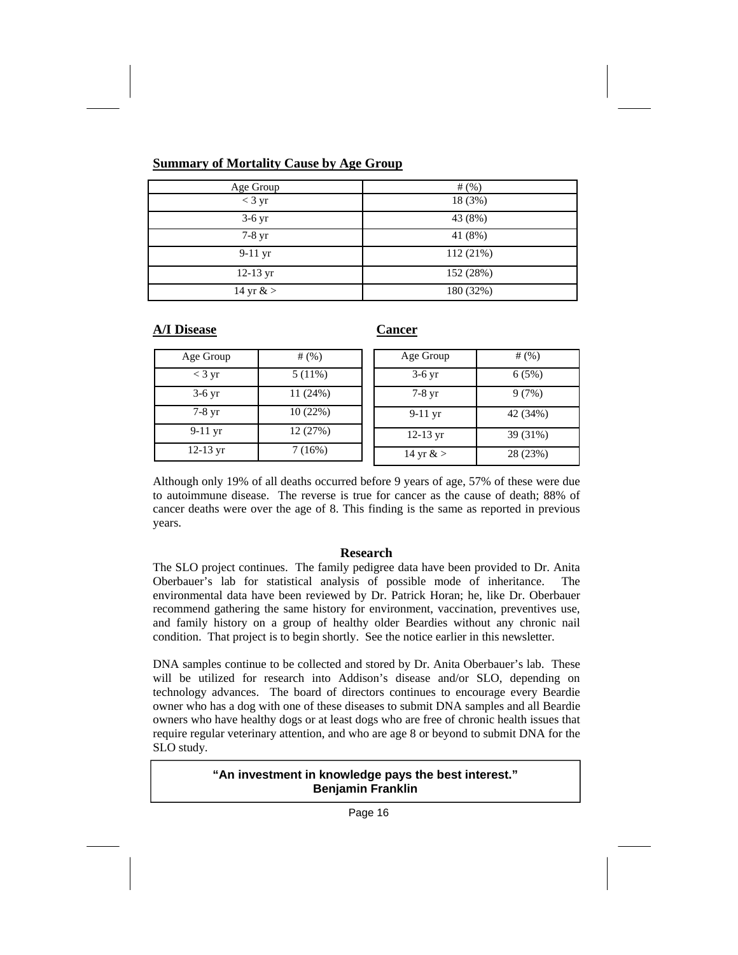## **Summary of Mortality Cause by Age Group**

| Age Group          | # $($ %)  |
|--------------------|-----------|
| $<$ 3 yr           | 18 (3%)   |
| $3-6$ yr           | 43 (8%)   |
| $7-8$ yr           | 41 (8%)   |
| $9-11$ yr          | 112 (21%) |
| $12-13 \text{ yr}$ | 152 (28%) |
| 14 yr $&>$         | 180 (32%) |

**A/I Disease Cancer**

| Age Group        | # $(%)$   | Age Group          | # $(%)$  |
|------------------|-----------|--------------------|----------|
| $<$ 3 yr         | $5(11\%)$ | $3-6$ yr           | 6(5%)    |
| $3-6 \text{ yr}$ | 11(24%)   | $7-8$ yr           | 9(7%)    |
| 7-8 yr           | 10(22%)   | $9-11$ yr          | 42 (34%) |
| $9-11$ yr        | 12 (27%)  | $12-13 \text{ yr}$ | 39 (31%) |
| $12-13$ yr       | 7(16%)    | 14 yr $&>$         | 28 (23%) |

Although only 19% of all deaths occurred before 9 years of age, 57% of these were due to autoimmune disease. The reverse is true for cancer as the cause of death; 88% of cancer deaths were over the age of 8. This finding is the same as reported in previous years.

## **Research**

The SLO project continues. The family pedigree data have been provided to Dr. Anita Oberbauer's lab for statistical analysis of possible mode of inheritance. The environmental data have been reviewed by Dr. Patrick Horan; he, like Dr. Oberbauer recommend gathering the same history for environment, vaccination, preventives use, and family history on a group of healthy older Beardies without any chronic nail condition. That project is to begin shortly. See the notice earlier in this newsletter.

DNA samples continue to be collected and stored by Dr. Anita Oberbauer's lab. These will be utilized for research into Addison's disease and/or SLO, depending on technology advances. The board of directors continues to encourage every Beardie owner who has a dog with one of these diseases to submit DNA samples and all Beardie owners who have healthy dogs or at least dogs who are free of chronic health issues that require regular veterinary attention, and who are age 8 or beyond to submit DNA for the SLO study.

# **"An investment in knowledge pays the best interest." Benjamin Franklin**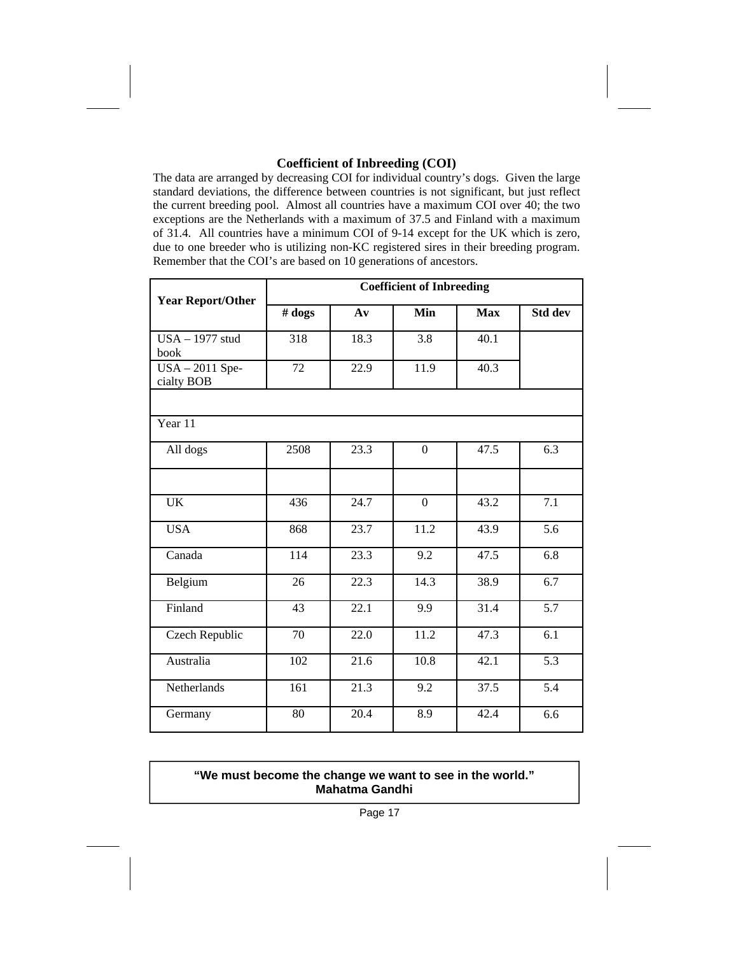# **Coefficient of Inbreeding (COI)**

The data are arranged by decreasing COI for individual country's dogs. Given the large standard deviations, the difference between countries is not significant, but just reflect the current breeding pool. Almost all countries have a maximum COI over 40; the two exceptions are the Netherlands with a maximum of 37.5 and Finland with a maximum of 31.4. All countries have a minimum COI of 9-14 except for the UK which is zero, due to one breeder who is utilizing non-KC registered sires in their breeding program. Remember that the COI's are based on 10 generations of ancestors.

| <b>Year Report/Other</b>    | <b>Coefficient of Inbreeding</b> |                |          |            |                  |  |
|-----------------------------|----------------------------------|----------------|----------|------------|------------------|--|
|                             | # <b>dog</b> s                   | A <sub>v</sub> | Min      | <b>Max</b> | Std dev          |  |
| $USA - 1977$ stud<br>book   | 318                              | 18.3           | 3.8      | 40.1       |                  |  |
| USA-2011 Spe-<br>cialty BOB | 72                               | 22.9           | 11.9     | 40.3       |                  |  |
|                             |                                  |                |          |            |                  |  |
| Year 11                     |                                  |                |          |            |                  |  |
| All dogs                    | 2508                             | 23.3           | $\Omega$ | 47.5       | 6.3              |  |
|                             |                                  |                |          |            |                  |  |
| <b>UK</b>                   | 436                              | 24.7           | $\Omega$ | 43.2       | 7.1              |  |
| <b>USA</b>                  | 868                              | 23.7           | 11.2     | 43.9       | 5.6              |  |
| Canada                      | 114                              | 23.3           | 9.2      | 47.5       | 6.8              |  |
| Belgium                     | 26                               | 22.3           | 14.3     | 38.9       | 6.7              |  |
| Finland                     | 43                               | 22.1           | 9.9      | 31.4       | 5.7              |  |
| Czech Republic              | 70                               | 22.0           | 11.2     | 47.3       | 6.1              |  |
| Australia                   | 102                              | 21.6           | 10.8     | 42.1       | $\overline{5.3}$ |  |
| Netherlands                 | 161                              | 21.3           | 9.2      | 37.5       | 5.4              |  |
| Germany                     | 80                               | 20.4           | 8.9      | 42.4       | 6.6              |  |

# **"We must become the change we want to see in the world." Mahatma Gandhi**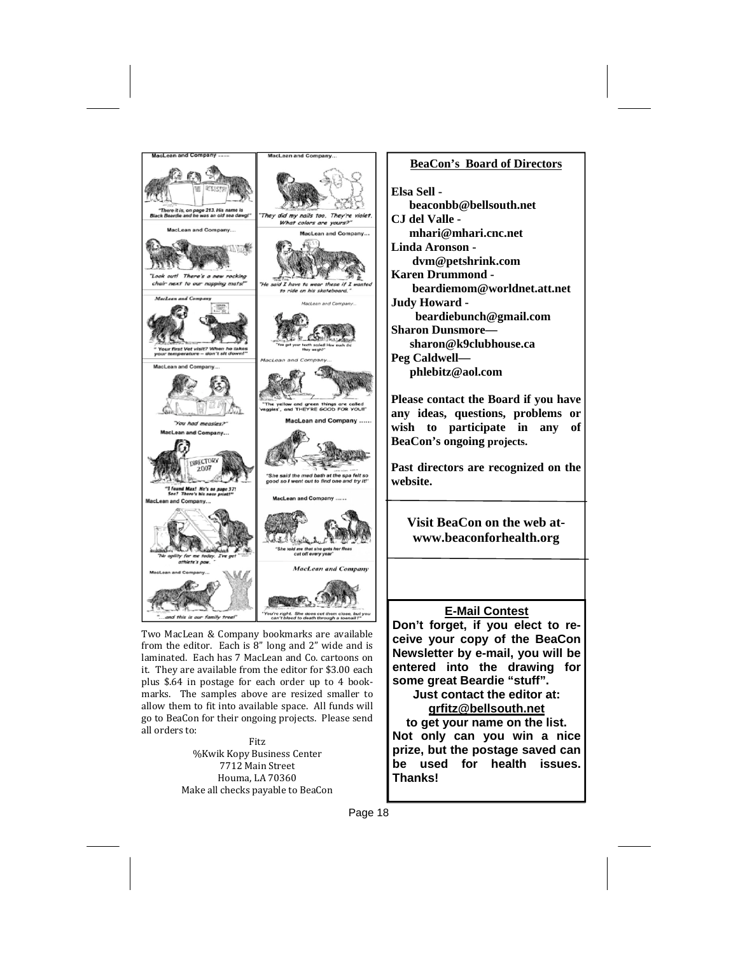

Two MacLean & Company bookmarks are available from the editor. Each is  $8''$  long and  $2''$  wide and is laminated. Each has 7 MacLean and Co. cartoons on it. They are available from the editor for \$3.00 each plus \$.64 in postage for each order up to 4 bookmarks. The samples above are resized smaller to allow them to fit into available space. All funds will go to BeaCon for their ongoing projects. Please send all orders to:

Fitz %Kwik Kopy Business Center 7712 Main Street Houma, LA 70360 Make all checks payable to BeaCon

#### **BeaCon's Board of Directors**

**Elsa Sell beaconbb@bellsouth.net CJ del Valle mhari@mhari.cnc.net Linda Aronson dvm@petshrink.com Karen Drummond beardiemom@worldnet.att.net Judy Howard beardiebunch@gmail.com Sharon Dunsmore sharon@k9clubhouse.ca Peg Caldwell phlebitz@aol.com** 

**Please contact the Board if you have any ideas, questions, problems or wish to participate in any of BeaCon's ongoing projects.** 

**Past directors are recognized on the website.** 

**Visit BeaCon on the web atwww.beaconforhealth.org** 

### **E-Mail Contest**

**Don't forget, if you elect to receive your copy of the BeaCon Newsletter by e-mail, you will be entered into the drawing for some great Beardie "stuff".** 

> **Just contact the editor at: grfitz@bellsouth.net**

**to get your name on the list. Not only can you win a nice prize, but the postage saved can be used for health issues. Thanks!**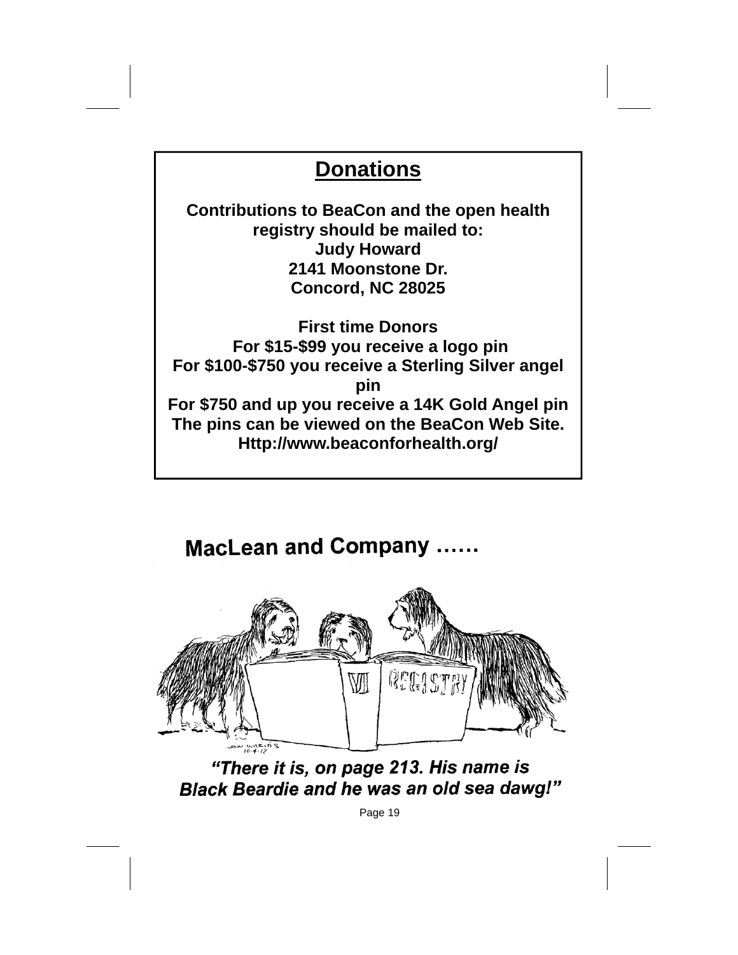# **Donations**

**Contributions to BeaCon and the open health registry should be mailed to: Judy Howard 2141 Moonstone Dr. Concord, NC 28025** 

**First time Donors For \$15-\$99 you receive a logo pin For \$100-\$750 you receive a Sterling Silver angel pin For \$750 and up you receive a 14K Gold Angel pin The pins can be viewed on the BeaCon Web Site. Http://www.beaconforhealth.org/** 

**MacLean and Company ......** 



"There it is, on page 213. His name is **Black Beardie and he was an old sea dawg!"**